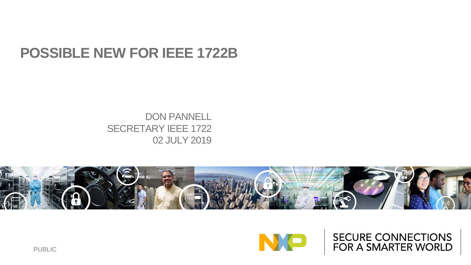#### **POSSIBLE NEW FOR IEEE 1722B**

#### DON PANNELL SECRETARY IEEE 1722 02 JULY 2019





SECURE CONNECTIONS FOR A SMARTER WORLD

PUBLIC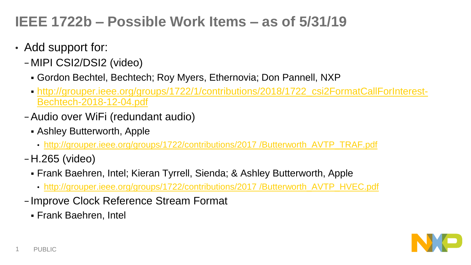## **IEEE 1722b – Possible Work Items – as of 5/31/19**

- Add support for:
	- −MIPI CSI2/DSI2 (video)
		- Gordon Bechtel, Bechtech; Roy Myers, Ethernovia; Don Pannell, NXP
		- [http://grouper.ieee.org/groups/1722/1/contributions/2018/1722\\_csi2FormatCallForInterest-](http://grouper.ieee.org/groups/1722/1/contributions/2018/1722_csi2FormatCallForInterest-Bechtech-2018-12-04.pdf)Bechtech-2018-12-04.pdf
	- −Audio over WiFi (redundant audio)
		- Ashley Butterworth, Apple
			- [http://grouper.ieee.org/groups/1722/contributions/2017 /Butterworth\\_AVTP\\_TRAF.pdf](http://grouper.ieee.org/groups/1722/contributions/2017 /Butterworth_AVTP_TRAF.pdf)
	- −H.265 (video)
		- Frank Baehren, Intel; Kieran Tyrrell, Sienda; & Ashley Butterworth, Apple
			- [http://grouper.ieee.org/groups/1722/contributions/2017 /Butterworth\\_AVTP\\_HVEC.pdf](http://grouper.ieee.org/groups/1722/contributions/2017 /Butterworth_AVTP_HVEC.pdf)
	- − Improve Clock Reference Stream Format
		- Frank Baehren, Intel

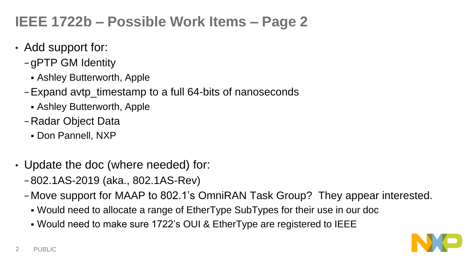## **IEEE 1722b – Possible Work Items – Page 2**

- Add support for:
	- − gPTP GM Identity
		- Ashley Butterworth, Apple
	- −Expand avtp\_timestamp to a full 64-bits of nanoseconds
		- Ashley Butterworth, Apple
	- −Radar Object Data
		- Don Pannell, NXP
- Update the doc (where needed) for:
	- − 802.1AS-2019 (aka., 802.1AS-Rev)
	- −Move support for MAAP to 802.1's OmniRAN Task Group? They appear interested.
		- Would need to allocate a range of EtherType SubTypes for their use in our doc
		- Would need to make sure 1722's OUI & EtherType are registered to IEEE